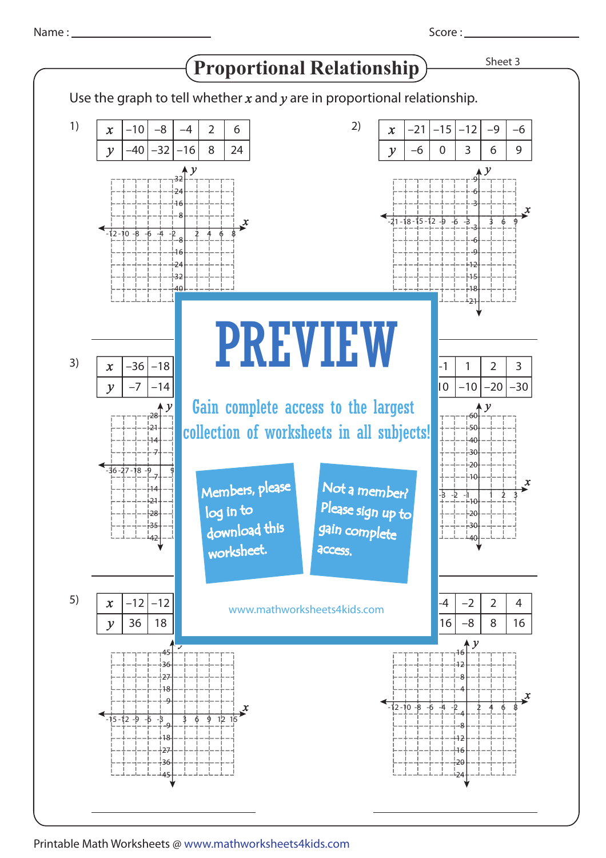